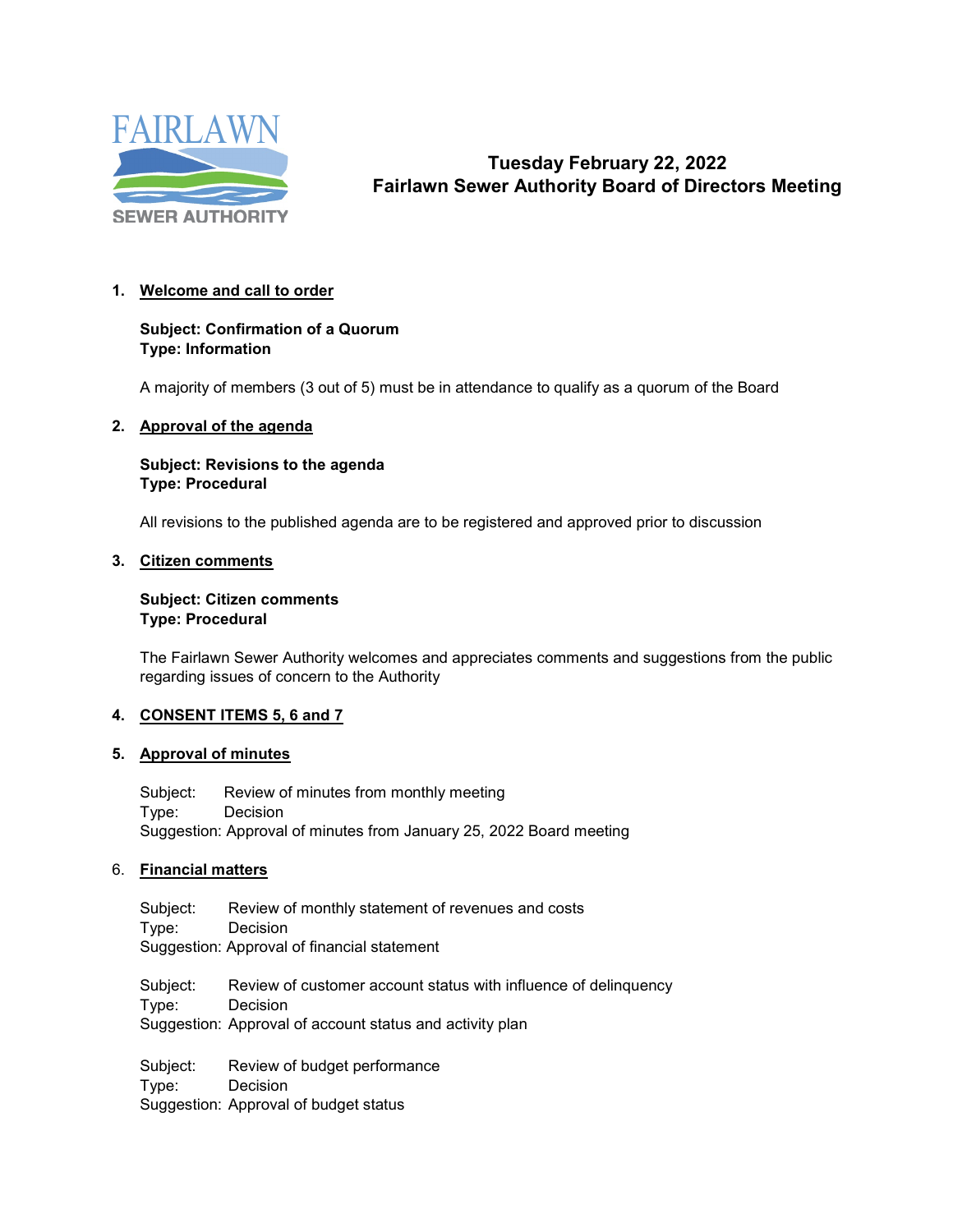

# **Tuesday February 22, 2022 Fairlawn Sewer Authority Board of Directors Meeting**

#### **1. Welcome and call to order**

### **Subject: Confirmation of a Quorum Type: Information**

A majority of members (3 out of 5) must be in attendance to qualify as a quorum of the Board

#### **2. Approval of the agenda**

#### **Subject: Revisions to the agenda Type: Procedural**

All revisions to the published agenda are to be registered and approved prior to discussion

#### **3. Citizen comments**

#### **Subject: Citizen comments Type: Procedural**

The Fairlawn Sewer Authority welcomes and appreciates comments and suggestions from the public regarding issues of concern to the Authority

#### **4. CONSENT ITEMS 5, 6 and 7**

#### **5. Approval of minutes**

Subject: Review of minutes from monthly meeting Type: Decision Suggestion: Approval of minutes from January 25, 2022 Board meeting

#### 6. **Financial matters**

Subject: Review of monthly statement of revenues and costs<br>Type: Decision **Decision** Suggestion: Approval of financial statement

Subject: Review of customer account status with influence of delinquency Type: Decision Suggestion: Approval of account status and activity plan

Subject: Review of budget performance Type: Decision Suggestion: Approval of budget status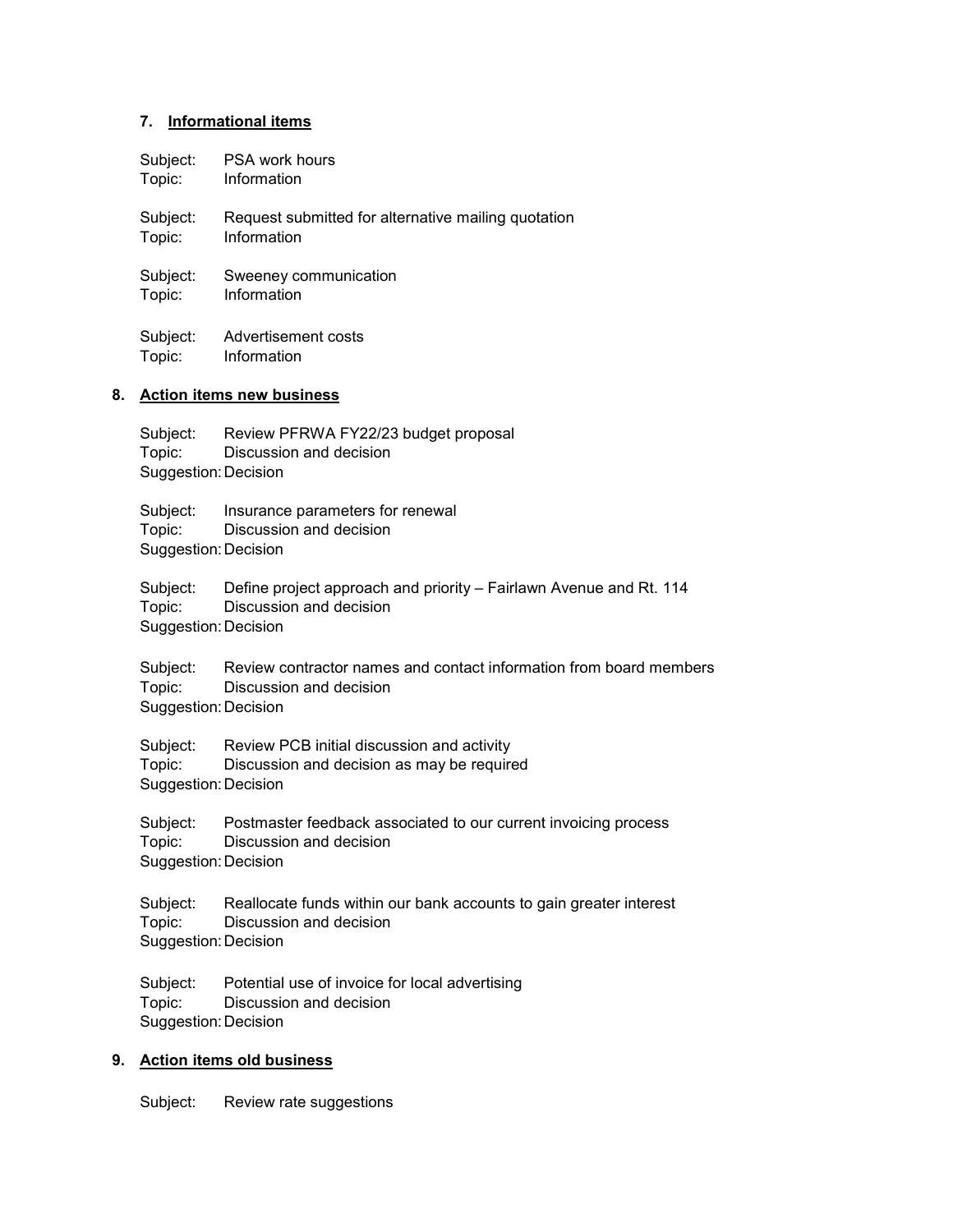#### **7. Informational items**

| Subject: |  | <b>PSA work hours</b> |
|----------|--|-----------------------|
|          |  |                       |

Topic: Information

Subject: Request submitted for alternative mailing quotation<br>Topic: linformation Information

Subject: Sweeney communication<br>Topic: lnformation Information

Subject: Advertisement costs<br>Topic: Information Information

#### **8. Action items new business**

| Topic:<br>Suggestion: Decision             | Subject: Review PFRWA FY22/23 budget proposal<br>Discussion and decision                               |
|--------------------------------------------|--------------------------------------------------------------------------------------------------------|
| Subject:<br>Topic:<br>Suggestion: Decision | Insurance parameters for renewal<br>Discussion and decision                                            |
| Topic:<br>Suggestion: Decision             | Subject: Define project approach and priority – Fairlawn Avenue and Rt. 114<br>Discussion and decision |
| Topic:<br>Suggestion: Decision             | Subject: Review contractor names and contact information from board members<br>Discussion and decision |
| Topic:<br>Suggestion: Decision             | Subject: Review PCB initial discussion and activity<br>Discussion and decision as may be required      |
| Topic:<br>Suggestion: Decision             | Subject: Postmaster feedback associated to our current invoicing process<br>Discussion and decision    |
| Topic:<br>Suggestion: Decision             | Subject: Reallocate funds within our bank accounts to gain greater interest<br>Discussion and decision |
| Topic:<br>Suggestion: Decision             | Subject: Potential use of invoice for local advertising<br>Discussion and decision                     |
|                                            |                                                                                                        |

# **9. Action items old business**

Subject: Review rate suggestions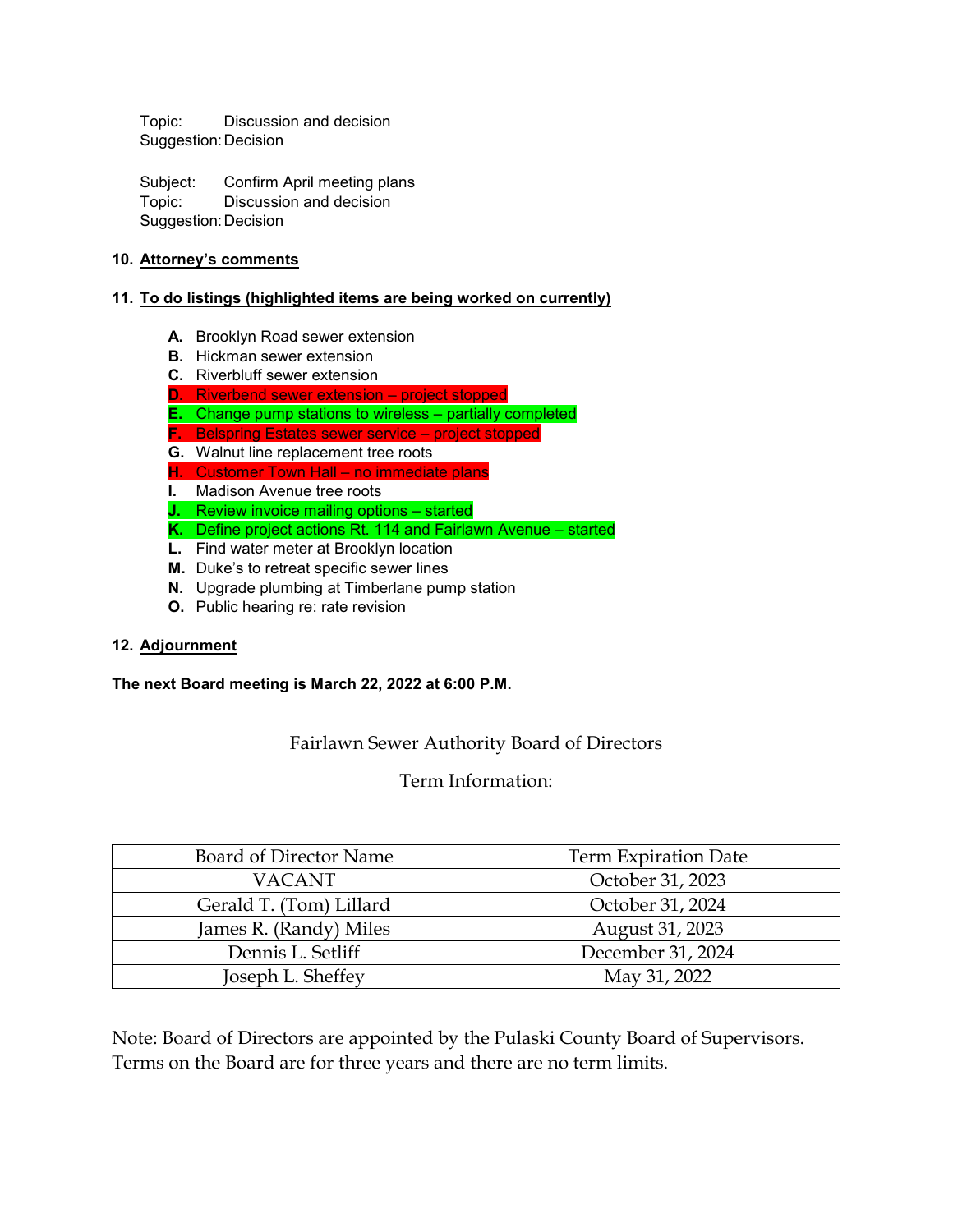Topic: Discussion and decision Suggestion:Decision

Subject: Confirm April meeting plans Topic: Discussion and decision Suggestion:Decision

#### **10. Attorney's comments**

#### **11. To do listings (highlighted items are being worked on currently)**

- **A.** Brooklyn Road sewer extension
- **B.** Hickman sewer extension
- **C.** Riverbluff sewer extension
- **D.** Riverbend sewer extension project stopped
- **E.** Change pump stations to wireless partially completed
- **F.** Belspring Estates sewer service project stopped
- **G.** Walnut line replacement tree roots
- **H.** Customer Town Hall no immediate plans
- **I.** Madison Avenue tree roots
- **J.** Review invoice mailing options started
- **K.** Define project actions Rt. 114 and Fairlawn Avenue started
- **L.** Find water meter at Brooklyn location
- **M.** Duke's to retreat specific sewer lines
- **N.** Upgrade plumbing at Timberlane pump station
- **O.** Public hearing re: rate revision

#### **12. Adjournment**

#### **The next Board meeting is March 22, 2022 at 6:00 P.M.**

# Fairlawn Sewer Authority Board of Directors

# Term Information:

| Board of Director Name  | <b>Term Expiration Date</b> |  |  |
|-------------------------|-----------------------------|--|--|
| <b>VACANT</b>           | October 31, 2023            |  |  |
| Gerald T. (Tom) Lillard | October 31, 2024            |  |  |
| James R. (Randy) Miles  | August 31, 2023             |  |  |
| Dennis L. Setliff       | December 31, 2024           |  |  |
| Joseph L. Sheffey       | May 31, 2022                |  |  |

Note: Board of Directors are appointed by the Pulaski County Board of Supervisors. Terms on the Board are for three years and there are no term limits.